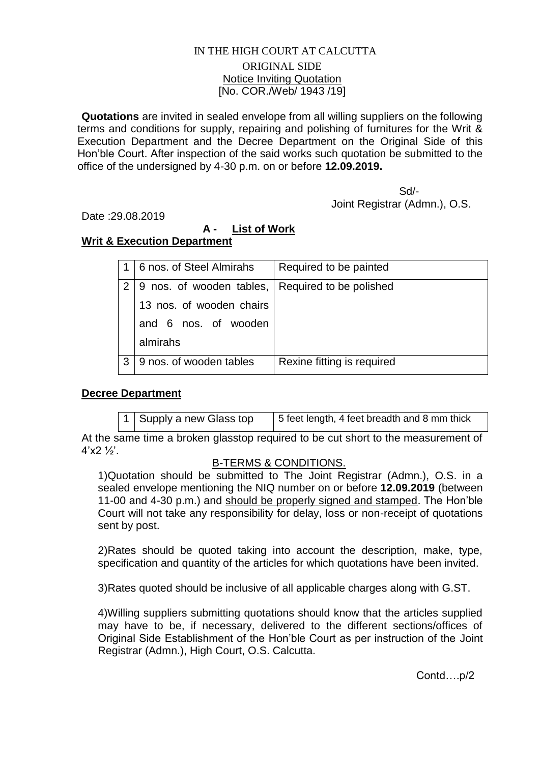#### IN THE HIGH COURT AT CALCUTTA ORIGINAL SIDE Notice Inviting Quotation [No. COR./Web/ 1943 /19]

**Quotations** are invited in sealed envelope from all willing suppliers on the following terms and conditions for supply, repairing and polishing of furnitures for the Writ & Execution Department and the Decree Department on the Original Side of this Hon'ble Court. After inspection of the said works such quotation be submitted to the office of the undersigned by 4-30 p.m. on or before **12.09.2019.**

 Sd/- Joint Registrar (Admn.), O.S.

Date :29.08.2019

# **A - List of Work**

## **Writ & Execution Department**

|   | 6 nos. of Steel Almirahs | Required to be painted     |
|---|--------------------------|----------------------------|
| 2 | 9 nos. of wooden tables, | Required to be polished    |
|   | 13 nos. of wooden chairs |                            |
|   | and 6 nos. of wooden     |                            |
|   | almirahs                 |                            |
| 3 | 9 nos. of wooden tables  | Rexine fitting is required |

## **Decree Department**

Supply a new Glass top  $\vert$  5 feet length, 4 feet breadth and 8 mm thick

At the same time a broken glasstop required to be cut short to the measurement of  $4'x2'2'$ .

#### B-TERMS & CONDITIONS.

1)Quotation should be submitted to The Joint Registrar (Admn.), O.S. in a sealed envelope mentioning the NIQ number on or before **12.09.2019** (between 11-00 and 4-30 p.m.) and should be properly signed and stamped. The Hon'ble Court will not take any responsibility for delay, loss or non-receipt of quotations sent by post.

2)Rates should be quoted taking into account the description, make, type, specification and quantity of the articles for which quotations have been invited.

3)Rates quoted should be inclusive of all applicable charges along with G.ST.

4)Willing suppliers submitting quotations should know that the articles supplied may have to be, if necessary, delivered to the different sections/offices of Original Side Establishment of the Hon'ble Court as per instruction of the Joint Registrar (Admn.), High Court, O.S. Calcutta.

Contd….p/2